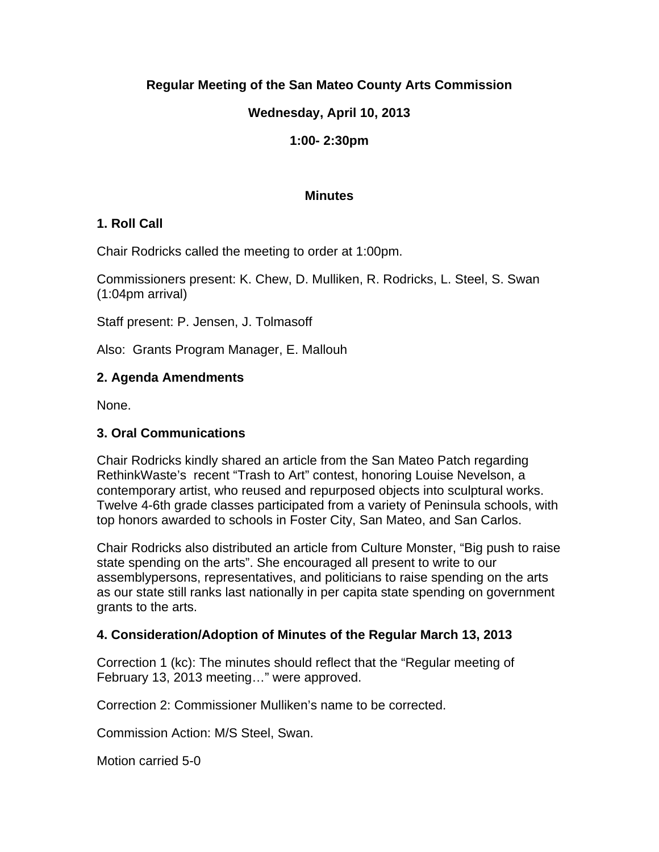# **Regular Meeting of the San Mateo County Arts Commission**

# **Wednesday, April 10, 2013**

## **1:00- 2:30pm**

#### **Minutes**

## **1. Roll Call**

Chair Rodricks called the meeting to order at 1:00pm.

Commissioners present: K. Chew, D. Mulliken, R. Rodricks, L. Steel, S. Swan (1:04pm arrival)

Staff present: P. Jensen, J. Tolmasoff

Also: Grants Program Manager, E. Mallouh

## **2. Agenda Amendments**

None.

## **3. Oral Communications**

Chair Rodricks kindly shared an article from the San Mateo Patch regarding RethinkWaste's recent "Trash to Art" contest, honoring Louise Nevelson, a contemporary artist, who reused and repurposed objects into sculptural works. Twelve 4-6th grade classes participated from a variety of Peninsula schools, with top honors awarded to schools in Foster City, San Mateo, and San Carlos.

Chair Rodricks also distributed an article from Culture Monster, "Big push to raise state spending on the arts". She encouraged all present to write to our assemblypersons, representatives, and politicians to raise spending on the arts as our state still ranks last nationally in per capita state spending on government grants to the arts.

# **4. Consideration/Adoption of Minutes of the Regular March 13, 2013**

Correction 1 (kc): The minutes should reflect that the "Regular meeting of February 13, 2013 meeting…" were approved.

Correction 2: Commissioner Mulliken's name to be corrected.

Commission Action: M/S Steel, Swan.

Motion carried 5-0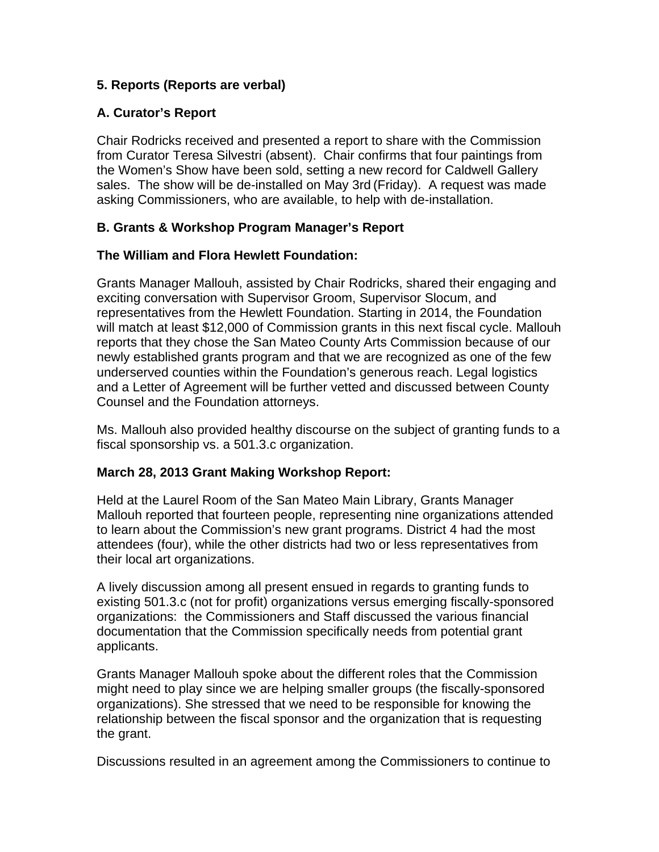# **5. Reports (Reports are verbal)**

## **A. Curator's Report**

Chair Rodricks received and presented a report to share with the Commission from Curator Teresa Silvestri (absent). Chair confirms that four paintings from the Women's Show have been sold, setting a new record for Caldwell Gallery sales. The show will be de-installed on May 3rd (Friday). A request was made asking Commissioners, who are available, to help with de-installation.

## **B. Grants & Workshop Program Manager's Report**

#### **The William and Flora Hewlett Foundation:**

Grants Manager Mallouh, assisted by Chair Rodricks, shared their engaging and exciting conversation with Supervisor Groom, Supervisor Slocum, and representatives from the Hewlett Foundation. Starting in 2014, the Foundation will match at least \$12,000 of Commission grants in this next fiscal cycle. Mallouh reports that they chose the San Mateo County Arts Commission because of our newly established grants program and that we are recognized as one of the few underserved counties within the Foundation's generous reach. Legal logistics and a Letter of Agreement will be further vetted and discussed between County Counsel and the Foundation attorneys.

Ms. Mallouh also provided healthy discourse on the subject of granting funds to a fiscal sponsorship vs. a 501.3.c organization.

#### **March 28, 2013 Grant Making Workshop Report:**

Held at the Laurel Room of the San Mateo Main Library, Grants Manager Mallouh reported that fourteen people, representing nine organizations attended to learn about the Commission's new grant programs. District 4 had the most attendees (four), while the other districts had two or less representatives from their local art organizations.

A lively discussion among all present ensued in regards to granting funds to existing 501.3.c (not for profit) organizations versus emerging fiscally-sponsored organizations: the Commissioners and Staff discussed the various financial documentation that the Commission specifically needs from potential grant applicants.

Grants Manager Mallouh spoke about the different roles that the Commission might need to play since we are helping smaller groups (the fiscally-sponsored organizations). She stressed that we need to be responsible for knowing the relationship between the fiscal sponsor and the organization that is requesting the grant.

Discussions resulted in an agreement among the Commissioners to continue to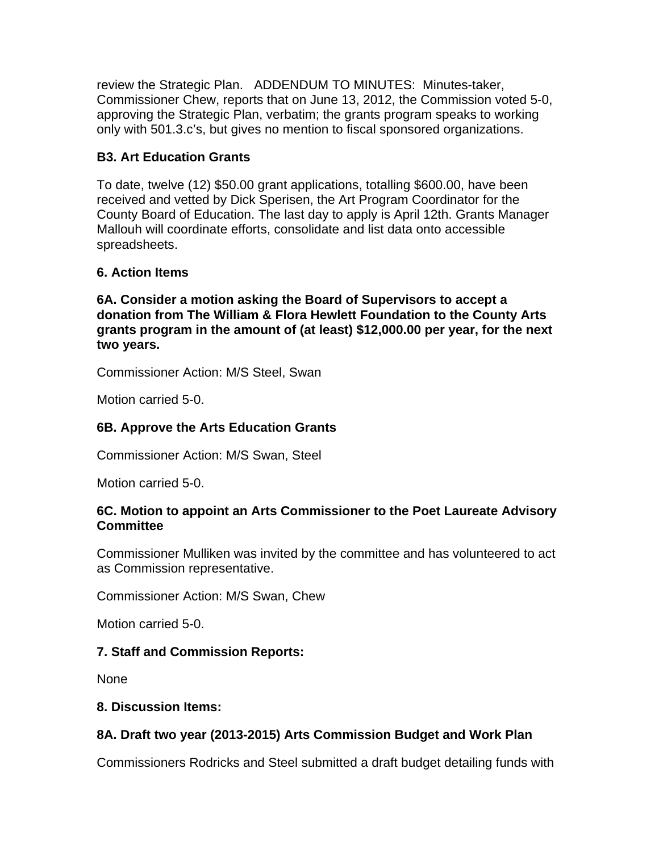review the Strategic Plan. ADDENDUM TO MINUTES: Minutes-taker, Commissioner Chew, reports that on June 13, 2012, the Commission voted 5-0, approving the Strategic Plan, verbatim; the grants program speaks to working only with 501.3.c's, but gives no mention to fiscal sponsored organizations.

# **B3. Art Education Grants**

To date, twelve (12) \$50.00 grant applications, totalling \$600.00, have been received and vetted by Dick Sperisen, the Art Program Coordinator for the County Board of Education. The last day to apply is April 12th. Grants Manager Mallouh will coordinate efforts, consolidate and list data onto accessible spreadsheets.

# **6. Action Items**

**6A. Consider a motion asking the Board of Supervisors to accept a donation from The William & Flora Hewlett Foundation to the County Arts grants program in the amount of (at least) \$12,000.00 per year, for the next two years.** 

Commissioner Action: M/S Steel, Swan

Motion carried 5-0.

# **6B. Approve the Arts Education Grants**

Commissioner Action: M/S Swan, Steel

Motion carried 5-0.

#### **6C. Motion to appoint an Arts Commissioner to the Poet Laureate Advisory Committee**

Commissioner Mulliken was invited by the committee and has volunteered to act as Commission representative.

Commissioner Action: M/S Swan, Chew

Motion carried 5-0.

# **7. Staff and Commission Reports:**

None

# **8. Discussion Items:**

# **8A. Draft two year (2013-2015) Arts Commission Budget and Work Plan**

Commissioners Rodricks and Steel submitted a draft budget detailing funds with